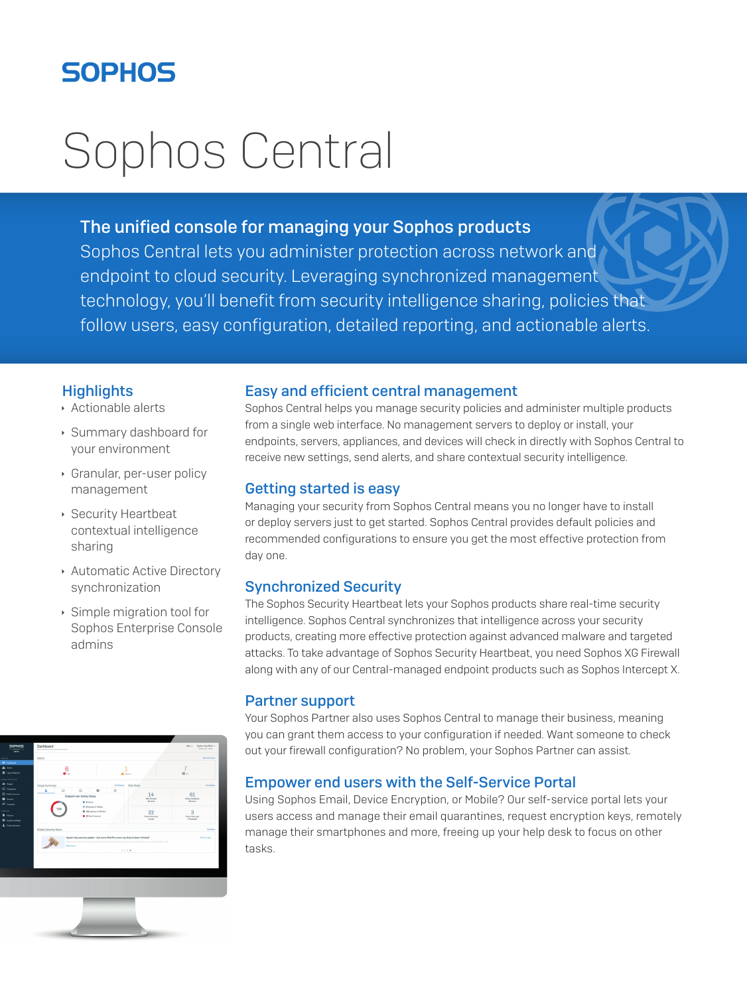# **SOPHOS**

# Sophos Central

# The unified console for managing your Sophos products

Sophos Central lets you administer protection across network and endpoint to cloud security. Leveraging synchronized management technology, you'll benefit from security intelligence sharing, policies that follow users, easy configuration, detailed reporting, and actionable alerts.

## **Highlights**

- **Actionable alerts**
- **Summary dashboard for** your environment
- **Granular, per-user policy** management
- **Security Heartbeat** contextual intelligence sharing
- **Automatic Active Directory** synchronization
- $\cdot$  Simple migration tool for Sophos Enterprise Console admins



#### Easy and efficient central management

Sophos Central helps you manage security policies and administer multiple products from a single web interface. No management servers to deploy or install, your endpoints, servers, appliances, and devices will check in directly with Sophos Central to receive new settings, send alerts, and share contextual security intelligence.

## Getting started is easy

Managing your security from Sophos Central means you no longer have to install or deploy servers just to get started. Sophos Central provides default policies and recommended configurations to ensure you get the most effective protection from day one.

# Synchronized Security

The Sophos Security Heartbeat lets your Sophos products share real-time security intelligence. Sophos Central synchronizes that intelligence across your security products, creating more effective protection against advanced malware and targeted attacks. To take advantage of Sophos Security Heartbeat, you need Sophos XG Firewall along with any of our Central-managed endpoint products such as Sophos Intercept X.

#### Partner support

Your Sophos Partner also uses Sophos Central to manage their business, meaning you can grant them access to your configuration if needed. Want someone to check out your firewall configuration? No problem, your Sophos Partner can assist.

#### Empower end users with the Self-Service Portal

Using Sophos Email, Device Encryption, or Mobile? Our self-service portal lets your users access and manage their email quarantines, request encryption keys, remotely manage their smartphones and more, freeing up your help desk to focus on other tasks.